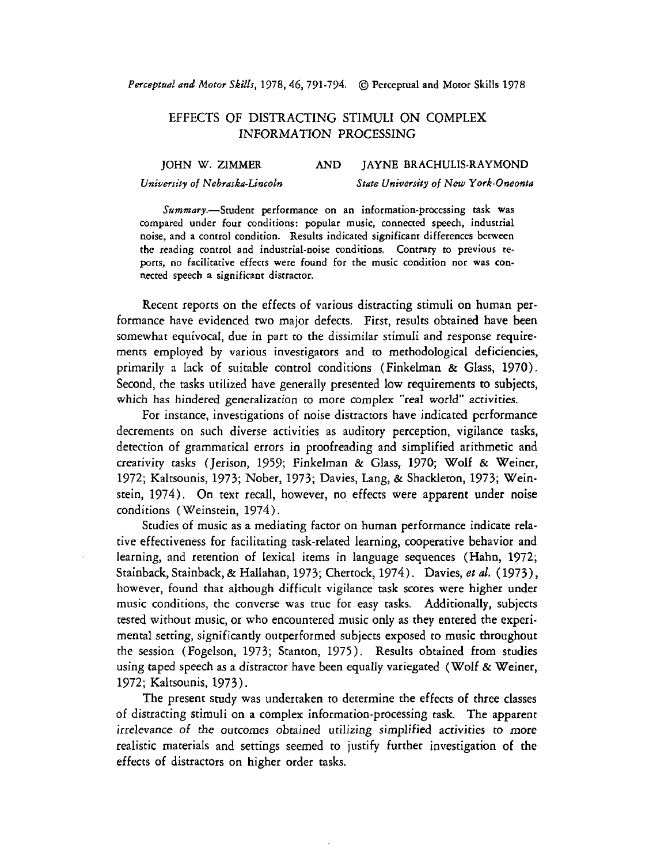*Perceptual and Motor Skills, 1978,46, 791-794.* @ **Perceptual and Motor Skills** *1978* 

## EFFECTS OF DISTRACTING STIMULI ON COMPLEX INFORMATION PROCESSING

## **JOHN W. ZlMMER AND JAYNE BRACHULIS-RAYMOND**  University of Nebraska-Lincoln **State University of New York-Oneonta**

*Summary.-Student* **performance on an information-processing task was compared under four conditions: popular music, connected speech, industrial noise, and a control condition. Results indicated significant differences between the reading control and industrial-noise conditions. Contrary to previous re**ports, no facilitative effects were found for the music condition nor was con**nected speech a significant distractor.** 

Recent reports on the effects of various distracting stimuli on human performance have evidenced two major defects. First, results obtained have been somewhat equivocal, due in part to the dissimilar stimuli and response requirements employed by various investigators and to methodological deficiencies, primarily a lack of suitable control conditions (Finkelman & Glass, 1970). Second, the tasks utilized have generally presented low requirements to subjects, which has hindered generalization to more complex "real world" activities.

For instance, investigations of noise distractors have indicated performance decrements on such diverse activities as auditory perception, vigilance tasks, detection of grammatical errors in proofreading and simplified arithmetic and creativity tasks (Jerison, 1959; Finkelman & Glass, 1970; Wolf & Weiner, 1972; Kaltsounis, 1973; Nober, 1973; Davies, Lang, & Shackieton, 1973; Weinstein, 1974). On text recall, however, no effects were apparent under noise conditions (Weinstein, 1974).

Studies of music as a mediating factor on human performance indicate relative effectiveness for facilitating task-related learning, cooperative behavior and learning, and retention of lexical items in language sequences (Hahn, 1972; Stainback, Stainback, & Hallahan, 1973; Chertock, 1974). Davies, et al. (1973), however, found that although difficult vigilance task scores were higher under music conditions, the converse was true for easy tasks. Additionally, subjects tested without music, or who encountered music only as they entered the experimental setting, significantly outperformed subjects exposed to music throughout the session (Fogelson, 1973; Stanton, 1975). Results obtained from studies using taped speech as a distractor have been equally variegated (Wolf  $\&$  Weiner, 1972; Kaltsounis, 1973).

The present study was undertaken to determine the effects of three classes of distracting stimuli on a complex information-processing task. The apparent irrelevance of the outcomes obtained utilizing simplified activities to more realistic materials and settings seemed to justify further investigation of the effects of distractors on higher order tasks.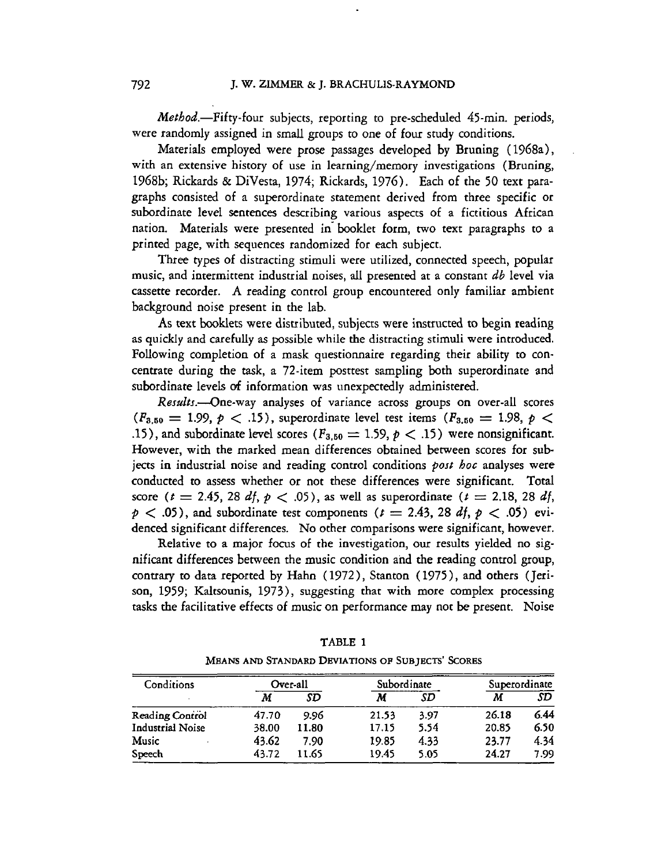Method.-Fifty-four subjects, reporting to pre-scheduled 45-min. periods, were randomly assigned in small groups to one of four study conditions.

Materials employed were prose passages developed by Bruning ( 1968a), with an extensive history of use in learning/memory investigations (Bruning, 1968b; Rickards & DiVesta, 1974; Rickards, 1976). Each of the 50 text paragraphs consisted of a superordinate statement derived from three specific or subordinate level sentences describing various aspects of a fictitious African nation. Materials were presented in' booklet form, two text paragraphs to a printed page, with sequences randomized for each subject.

Three types of distracting stimuli were utilized, connected speech, popular music, and intermittent industrial noises, all presented at a constant  $db$  level via cassette recorder. **A** reading control group encountered only familiar ambient background noise present in the lab.

As text booklets were distributed, subjects were instructed to begin reading as quickly and carefully **as** possible while the distracting stimuli were introduced. Following completion of a mask questionnaire regarding their ability to concentrate during the task, a 72-item posttest sampling both superordinate and subordinate levels **of** information was unexpectedly administered.

Results.--One-way analyses of variance across groups on over-all scores  $(F_{3,50} = 1.99, p < .15)$ , superordinate level test items  $(F_{3,50} = 1.98, p < .15)$ .15), and subordinate level scores ( $F_{3,50} = 1.59$ ,  $p < .15$ ) were nonsignificant. However, with the marked mean differences obtained between scores for subjects in industrial noise and reading control conditions  $post$  hoc analyses were conducted to assess whether or not these differences were significant. Total score ( $t = 2.45$ , 28 df,  $p < .05$ ), as well as superordinate ( $t = 2.18$ , 28 df,  $p < .05$ ), and subordinate test components  $(t = 2.43, 28 \text{ df}, p < .05)$  evidenced significant differences. No other comparisons were significant, however.

Relative to a major focus of the investigation, our results yielded no significant differences between the music condition and the reading conuol group, contrary to data reported by Hahn (1972), Stanton (1975), and others (Jerison, 1959; Kaltsounis, 1973), suggesting that with more complex processing tasks the facilitative effects of music on performance may not be present. Noise

| TABLE 1                                           |  |  |  |  |  |  |  |
|---------------------------------------------------|--|--|--|--|--|--|--|
| MEANS AND STANDARD DEVIATIONS OF SUBJECTS' SCORES |  |  |  |  |  |  |  |

| Conditions              | Over-all |       | Subordinate |      | Superordinate |      |
|-------------------------|----------|-------|-------------|------|---------------|------|
|                         | М        | SD    | Μ           | SD   | М             | SD   |
| <b>Reading Control</b>  | 47.70    | 9.96  | 21.53       | 3.97 | 26.18         | 6.44 |
| <b>Industrial Noise</b> | 38.00    | 11.80 | 17.15       | 5.54 | 20.85         | 6.50 |
| Music                   | 43.62    | 7.90  | 19.85       | 4.33 | 23.77         | 4.34 |
| Speech                  | 43.72    | 11.65 | 19.45       | 5.05 | 24.27         | 7.99 |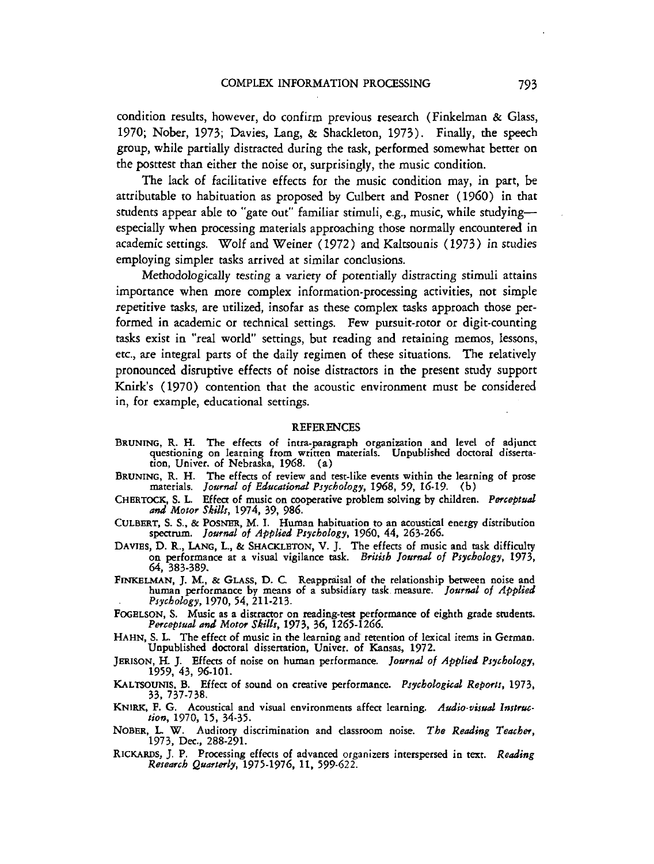condition results, however, do confirm previous research (Finkelman & Glass, 1970; Nober, **1973;** Davies, Lang, & Shackleton, 1973). Finally, the speech group, while partially distracted during the task, performed somewhat better on the posttest than either the noise or, surprisingly, the music condition.

The lack of facilitative effects for the music condition may, in part, be attributable to habituation as proposed by Culbert and Posner **(1960)** in that students appear able to "gate out" familiar stimuli, e.g., music, while studyingespecially when processing materials approaching those normally encountered in academic settings. Wolf and Weiner (1972) and Kaltsounis **(1973)** in studies employing simpler tasks arrived at similar conclusions.

Methodologically testing a variety of potentially distracting stimuli attains importance when more complex information-processing activities, not simple repetitive tasks, are utilized, insofar as these complex tasks approach those performed in academic or technical settings. Few pursuit-rotor or digit-counting tasks exist in "real world" settings, but reading and retaining memos, lessons, etc., are integral parts of the daily regimen of these situations. The relatively pronounced disruptive effects of noise distractors in the present study support Knirk's (1970) contention that the acoustic environment must be considered in, for example, educational settings.

## **REFERENCES**

- BRUNING, R.H. The effects of intra-paragraph organization and level of adjunct questioning on learning from written materials. Unpublished doctoral dissertation, Univer. of Nebraska, **1968.** (a)
- BRUNING, R.H. The effects of review and test-like events within the learning of prose materials. *Journul of Educatiorurl Psychology,* **1968, 59, 16-19.** (b)
- CHERTOCK, S. L. Effect of music on cooperative problem solving by children. *Psrceptud*  **and** *Motor Skills,* **1974, 39, 986.**
- CULBBRT, S. S., & POSNBR, M. I. Human habituation to an acoustical energy distribution spectnun. *Journal of Applied Psychology,* **1960.** *44,* **263-266.**
- **DAVIBS, D. R., LANG,** L., & SHACKLETON, V. J. The effects of music and task difficulty on performance at a visual vigilance task. *British Journal of Psychology,* **1973, 64, 383-389.**
- FINKELMAN, J. M., & GLASS, D. C. Reappraisal of the relationship between noise and human performance by means of a subsidiary task measure. *Joarnul of Applied* . *Psychology,* **1970, 54, 211-213.**
- FOGELSON, S. Music as a distractor on reading-test performance of eighth grade students. *Perceptual ad Motw Skills,* **1973, 36, 1265-1266.**
- HAHN, S. L. The effect of music in the learning and retention of lexical items in German. Unpublished doctoral dissertation, Univer. of Kansas, **1972.**
- JERISON, H. J. Effects of noise on human performance. *Journal of Applied Psychology*, **1959, 43, 96-101.**
- KALTSOUNIS. B. Effect of sound on creative performance. *Psychological Reports,* **1973, 33. 737-738.**
- KNIRK, F. G. Acoustical and visual environments affect learning. Audio-visual Instruc*tion,* **1970, 15, 34-35.**
- NOBKR, **L.** W. Auditory discrimination and classroom noise. *Tho Reading Teacher,* **1973,** Dec., **288-291.**
- **RICKARDS,** J. P. Processing effects of advanced organizers interspersed in text. *Reading Research QuarterIy,* **1975-1976, 11, 599-622.**